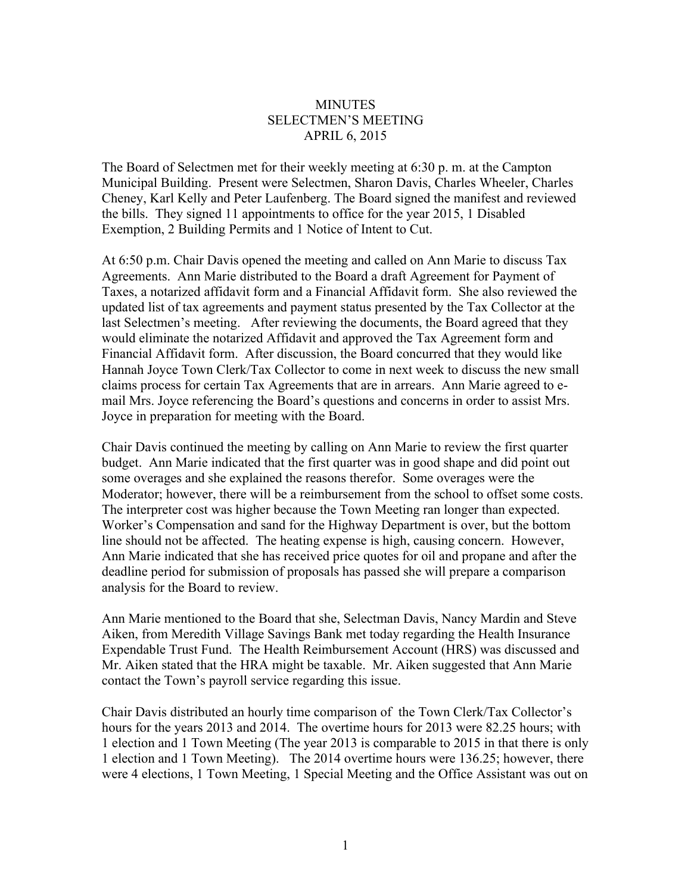## **MINUTES** SELECTMEN'S MEETING APRIL 6, 2015

The Board of Selectmen met for their weekly meeting at 6:30 p. m. at the Campton Municipal Building. Present were Selectmen, Sharon Davis, Charles Wheeler, Charles Cheney, Karl Kelly and Peter Laufenberg. The Board signed the manifest and reviewed the bills. They signed 11 appointments to office for the year 2015, 1 Disabled Exemption, 2 Building Permits and 1 Notice of Intent to Cut.

At 6:50 p.m. Chair Davis opened the meeting and called on Ann Marie to discuss Tax Agreements. Ann Marie distributed to the Board a draft Agreement for Payment of Taxes, a notarized affidavit form and a Financial Affidavit form. She also reviewed the updated list of tax agreements and payment status presented by the Tax Collector at the last Selectmen's meeting. After reviewing the documents, the Board agreed that they would eliminate the notarized Affidavit and approved the Tax Agreement form and Financial Affidavit form. After discussion, the Board concurred that they would like Hannah Joyce Town Clerk/Tax Collector to come in next week to discuss the new small claims process for certain Tax Agreements that are in arrears. Ann Marie agreed to email Mrs. Joyce referencing the Board's questions and concerns in order to assist Mrs. Joyce in preparation for meeting with the Board.

Chair Davis continued the meeting by calling on Ann Marie to review the first quarter budget. Ann Marie indicated that the first quarter was in good shape and did point out some overages and she explained the reasons therefor. Some overages were the Moderator; however, there will be a reimbursement from the school to offset some costs. The interpreter cost was higher because the Town Meeting ran longer than expected. Worker's Compensation and sand for the Highway Department is over, but the bottom line should not be affected. The heating expense is high, causing concern. However, Ann Marie indicated that she has received price quotes for oil and propane and after the deadline period for submission of proposals has passed she will prepare a comparison analysis for the Board to review.

Ann Marie mentioned to the Board that she, Selectman Davis, Nancy Mardin and Steve Aiken, from Meredith Village Savings Bank met today regarding the Health Insurance Expendable Trust Fund. The Health Reimbursement Account (HRS) was discussed and Mr. Aiken stated that the HRA might be taxable. Mr. Aiken suggested that Ann Marie contact the Town's payroll service regarding this issue.

Chair Davis distributed an hourly time comparison of the Town Clerk/Tax Collector's hours for the years 2013 and 2014. The overtime hours for 2013 were 82.25 hours; with 1 election and 1 Town Meeting (The year 2013 is comparable to 2015 in that there is only 1 election and 1 Town Meeting). The 2014 overtime hours were 136.25; however, there were 4 elections, 1 Town Meeting, 1 Special Meeting and the Office Assistant was out on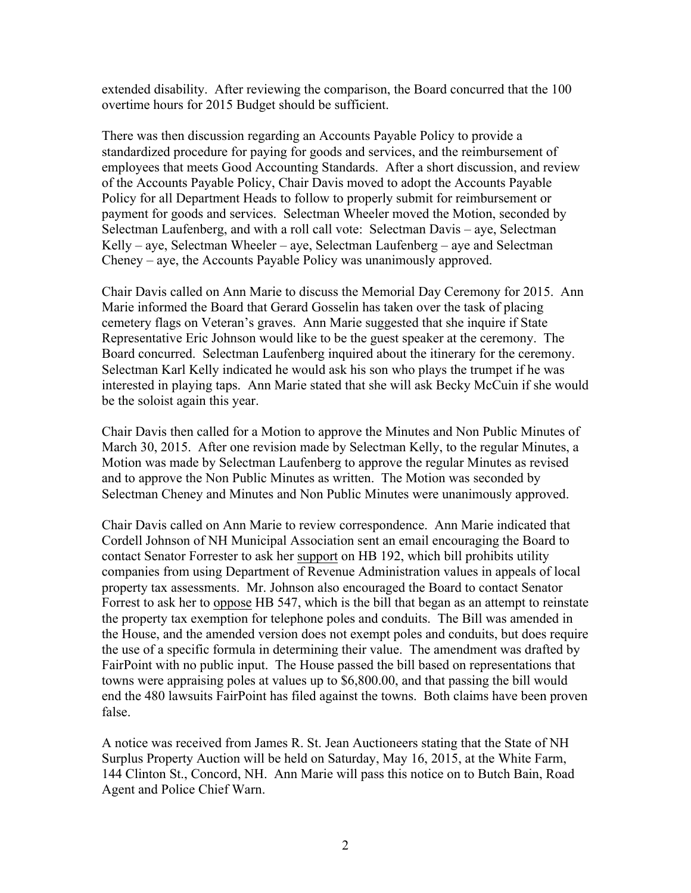extended disability. After reviewing the comparison, the Board concurred that the 100 overtime hours for 2015 Budget should be sufficient.

There was then discussion regarding an Accounts Payable Policy to provide a standardized procedure for paying for goods and services, and the reimbursement of employees that meets Good Accounting Standards. After a short discussion, and review of the Accounts Payable Policy, Chair Davis moved to adopt the Accounts Payable Policy for all Department Heads to follow to properly submit for reimbursement or payment for goods and services. Selectman Wheeler moved the Motion, seconded by Selectman Laufenberg, and with a roll call vote: Selectman Davis – aye, Selectman Kelly – aye, Selectman Wheeler – aye, Selectman Laufenberg – aye and Selectman Cheney – aye, the Accounts Payable Policy was unanimously approved.

Chair Davis called on Ann Marie to discuss the Memorial Day Ceremony for 2015. Ann Marie informed the Board that Gerard Gosselin has taken over the task of placing cemetery flags on Veteran's graves. Ann Marie suggested that she inquire if State Representative Eric Johnson would like to be the guest speaker at the ceremony. The Board concurred. Selectman Laufenberg inquired about the itinerary for the ceremony. Selectman Karl Kelly indicated he would ask his son who plays the trumpet if he was interested in playing taps. Ann Marie stated that she will ask Becky McCuin if she would be the soloist again this year.

Chair Davis then called for a Motion to approve the Minutes and Non Public Minutes of March 30, 2015. After one revision made by Selectman Kelly, to the regular Minutes, a Motion was made by Selectman Laufenberg to approve the regular Minutes as revised and to approve the Non Public Minutes as written. The Motion was seconded by Selectman Cheney and Minutes and Non Public Minutes were unanimously approved.

Chair Davis called on Ann Marie to review correspondence. Ann Marie indicated that Cordell Johnson of NH Municipal Association sent an email encouraging the Board to contact Senator Forrester to ask her support on HB 192, which bill prohibits utility companies from using Department of Revenue Administration values in appeals of local property tax assessments. Mr. Johnson also encouraged the Board to contact Senator Forrest to ask her to oppose HB 547, which is the bill that began as an attempt to reinstate the property tax exemption for telephone poles and conduits. The Bill was amended in the House, and the amended version does not exempt poles and conduits, but does require the use of a specific formula in determining their value. The amendment was drafted by FairPoint with no public input. The House passed the bill based on representations that towns were appraising poles at values up to \$6,800.00, and that passing the bill would end the 480 lawsuits FairPoint has filed against the towns. Both claims have been proven false.

A notice was received from James R. St. Jean Auctioneers stating that the State of NH Surplus Property Auction will be held on Saturday, May 16, 2015, at the White Farm, 144 Clinton St., Concord, NH. Ann Marie will pass this notice on to Butch Bain, Road Agent and Police Chief Warn.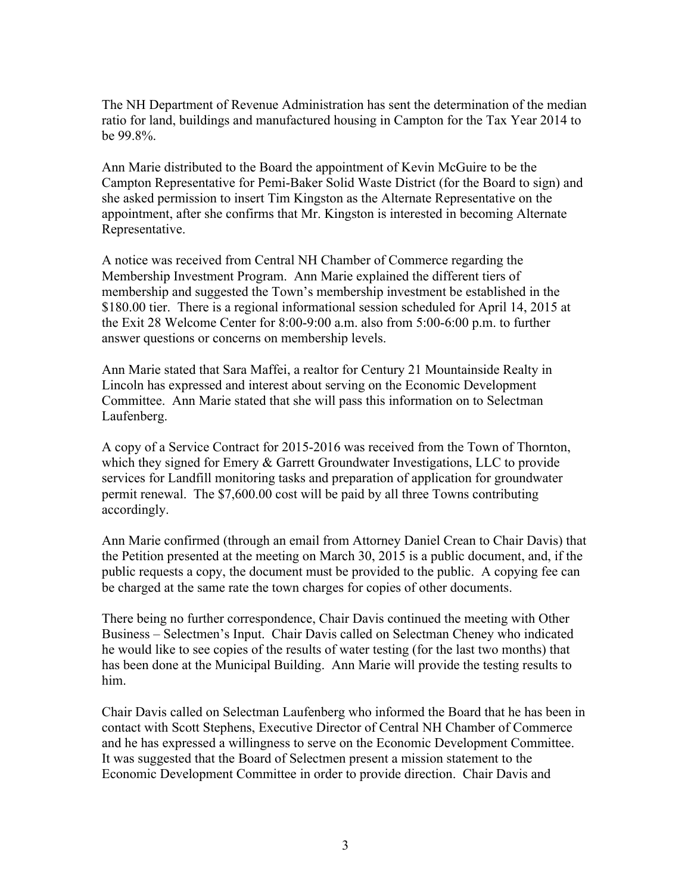The NH Department of Revenue Administration has sent the determination of the median ratio for land, buildings and manufactured housing in Campton for the Tax Year 2014 to be 99.8%.

Ann Marie distributed to the Board the appointment of Kevin McGuire to be the Campton Representative for Pemi-Baker Solid Waste District (for the Board to sign) and she asked permission to insert Tim Kingston as the Alternate Representative on the appointment, after she confirms that Mr. Kingston is interested in becoming Alternate Representative.

A notice was received from Central NH Chamber of Commerce regarding the Membership Investment Program. Ann Marie explained the different tiers of membership and suggested the Town's membership investment be established in the \$180.00 tier. There is a regional informational session scheduled for April 14, 2015 at the Exit 28 Welcome Center for 8:00-9:00 a.m. also from 5:00-6:00 p.m. to further answer questions or concerns on membership levels.

Ann Marie stated that Sara Maffei, a realtor for Century 21 Mountainside Realty in Lincoln has expressed and interest about serving on the Economic Development Committee. Ann Marie stated that she will pass this information on to Selectman Laufenberg.

A copy of a Service Contract for 2015-2016 was received from the Town of Thornton, which they signed for Emery & Garrett Groundwater Investigations, LLC to provide services for Landfill monitoring tasks and preparation of application for groundwater permit renewal. The \$7,600.00 cost will be paid by all three Towns contributing accordingly.

Ann Marie confirmed (through an email from Attorney Daniel Crean to Chair Davis) that the Petition presented at the meeting on March 30, 2015 is a public document, and, if the public requests a copy, the document must be provided to the public. A copying fee can be charged at the same rate the town charges for copies of other documents.

There being no further correspondence, Chair Davis continued the meeting with Other Business – Selectmen's Input. Chair Davis called on Selectman Cheney who indicated he would like to see copies of the results of water testing (for the last two months) that has been done at the Municipal Building. Ann Marie will provide the testing results to him.

Chair Davis called on Selectman Laufenberg who informed the Board that he has been in contact with Scott Stephens, Executive Director of Central NH Chamber of Commerce and he has expressed a willingness to serve on the Economic Development Committee. It was suggested that the Board of Selectmen present a mission statement to the Economic Development Committee in order to provide direction. Chair Davis and